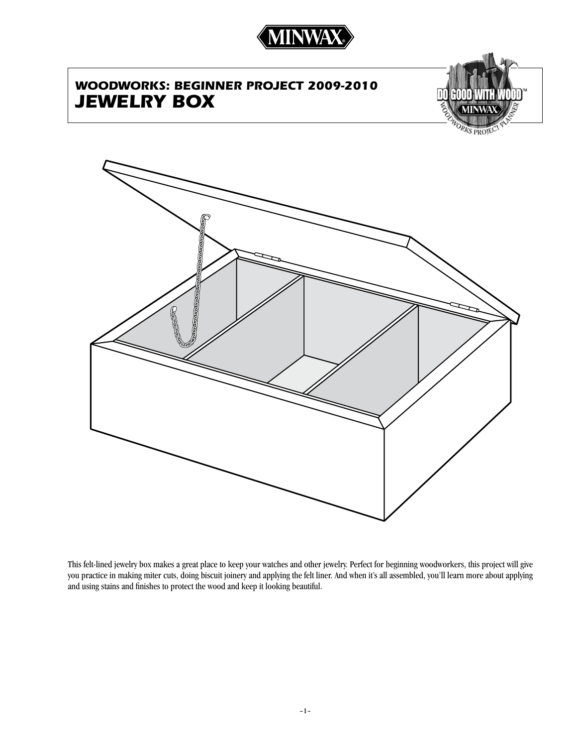

# *WOODWORKS: Beginner project 2009-2010 Jewelry box*





This felt-lined jewelry box makes a great place to keep your watches and other jewelry. Perfect for beginning woodworkers, this project will give you practice in making miter cuts, doing biscuit joinery and applying the felt liner. And when it's all assembled, you'll learn more about applying and using stains and finishes to protect the wood and keep it looking beautiful.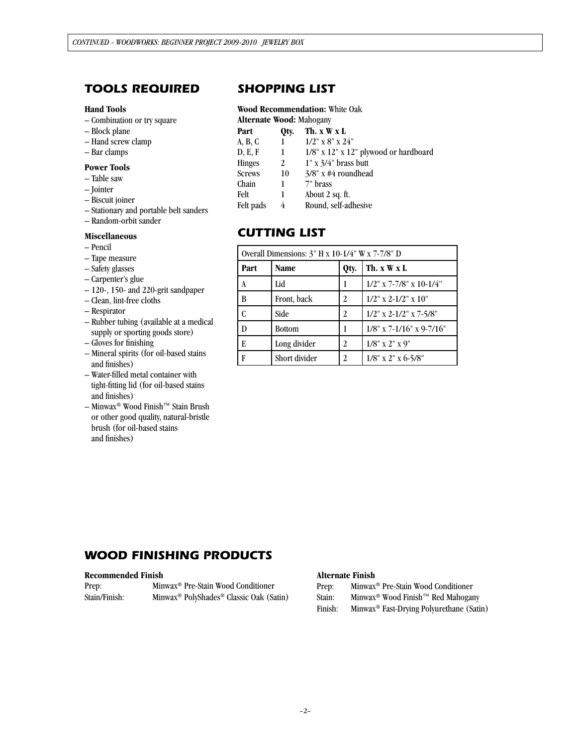## *tools required*

#### **Hand Tools**

- Combination or try square
- Block plane
- Hand screw clamp
- Bar clamps

#### **Power Tools**

- Table saw
- Jointer
- Biscuit joiner
- Stationary and portable belt sanders
- Random-orbit sander

#### **Miscellaneous**

- Pencil
- Tape measure
- Safety glasses
- Carpenter's glue
- 120-, 150- and 220-grit sandpaper
- Clean, lint-free cloths
- Respirator
- Rubber tubing (available at a medical supply or sporting goods store)
- Gloves for finishing
- Mineral spirits (for oil-based stains and finishes)
- Water-filled metal container with tight-fitting lid (for oil-based stains and finishes)
- Minwax® Wood Finish™ Stain Brush or other good quality, natural-bristle brush (for oil-based stains and finishes)

## *SHOPPING LIST*

#### **Wood Recommendation:** White Oak **Alternate Wood:** Mahogany

| AIICHIAIC WOOU. MAHOGAHY |      |                                                |  |  |  |
|--------------------------|------|------------------------------------------------|--|--|--|
| Part                     | Otv. | Th. x W x L                                    |  |  |  |
| A, B, C                  |      | $1/2$ " x 8" x $24$ "                          |  |  |  |
| D, E, F                  |      | $1/8$ " x $12$ " x $12$ " plywood or hardboard |  |  |  |
| Hinges                   | 2    | $1" x 3/4"$ brass butt                         |  |  |  |
| Screws                   | 10   | $3/8$ " x #4 roundhead                         |  |  |  |
| Chain                    | 1    | 7" brass                                       |  |  |  |
| Felt                     |      | About 2 sq. ft.                                |  |  |  |
| Felt pads                | 4    | Round, self-adhesive                           |  |  |  |
|                          |      |                                                |  |  |  |

## *cutting list*

| Overall Dimensions: $3''$ H x 10-1/4" W x 7-7/8" D |               |      |                             |  |  |
|----------------------------------------------------|---------------|------|-----------------------------|--|--|
| Part                                               | Name          | Qty. | Th. x W x L                 |  |  |
| l A                                                | Lid           | 1    | $1/2$ " x 7-7/8" x 10-1/4"  |  |  |
| l B                                                | Front, back   | 2    | $1/2$ " x 2-1/2" x 10"      |  |  |
| l C                                                | Side          | 2    | $1/2$ " x 2-1/2" x 7-5/8"   |  |  |
| l D                                                | <b>Bottom</b> | 1    | $1/8$ " x 7-1/16" x 9-7/16" |  |  |
| l E                                                | Long divider  | 2    | $1/8$ " x 2" x 9"           |  |  |
| l F                                                | Short divider | 2    | $1/8$ " x 2" x 6-5/8"       |  |  |

## *WOOD FINISHING PRODUCTS*

#### **Recommended Finish**

| Prep:         | Minwax <sup>®</sup> Pre-Stain Wood Conditioner                  |  |
|---------------|-----------------------------------------------------------------|--|
| Stain/Finish: | Minwax <sup>®</sup> PolyShades <sup>®</sup> Classic Oak (Satin) |  |

#### **Alternate Finish**

Prep: Minwax® Pre-Stain Wood Conditioner

Stain: Minwax® Wood Finish™ Red Mahogany

Finish: Minwax® Fast-Drying Polyurethane (Satin)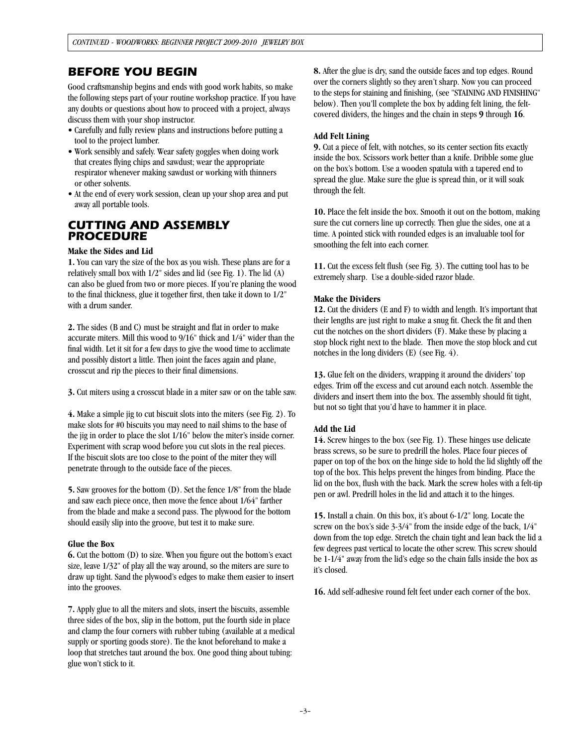### *Before you begin*

Good craftsmanship begins and ends with good work habits, so make the following steps part of your routine workshop practice. If you have any doubts or questions about how to proceed with a project, always discuss them with your shop instructor.

- Carefully and fully review plans and instructions before putting a tool to the project lumber.
- Work sensibly and safely. Wear safety goggles when doing work that creates flying chips and sawdust; wear the appropriate respirator whenever making sawdust or working with thinners or other solvents.
- At the end of every work session, clean up your shop area and put away all portable tools.

### *CUTTING AND ASSEMBLY PROCEDURE*

#### **Make the Sides and Lid**

**1.** You can vary the size of the box as you wish. These plans are for a relatively small box with 1/2" sides and lid (see Fig. 1). The lid (A) can also be glued from two or more pieces. If you're planing the wood to the final thickness, glue it together first, then take it down to 1/2" with a drum sander.

**2.** The sides (B and C) must be straight and flat in order to make accurate miters. Mill this wood to 9/16" thick and 1/4" wider than the final width. Let it sit for a few days to give the wood time to acclimate and possibly distort a little. Then joint the faces again and plane, crosscut and rip the pieces to their final dimensions.

**3.** Cut miters using a crosscut blade in a miter saw or on the table saw.

**4.** Make a simple jig to cut biscuit slots into the miters (see Fig. 2). To make slots for #0 biscuits you may need to nail shims to the base of the jig in order to place the slot 1/16" below the miter's inside corner. Experiment with scrap wood before you cut slots in the real pieces. If the biscuit slots are too close to the point of the miter they will penetrate through to the outside face of the pieces.

**5.** Saw grooves for the bottom (D). Set the fence 1/8" from the blade and saw each piece once, then move the fence about 1/64" farther from the blade and make a second pass. The plywood for the bottom should easily slip into the groove, but test it to make sure.

#### **Glue the Box**

**6.** Cut the bottom (D) to size. When you figure out the bottom's exact size, leave 1/32" of play all the way around, so the miters are sure to draw up tight. Sand the plywood's edges to make them easier to insert into the grooves.

**7.** Apply glue to all the miters and slots, insert the biscuits, assemble three sides of the box, slip in the bottom, put the fourth side in place and clamp the four corners with rubber tubing (available at a medical supply or sporting goods store). Tie the knot beforehand to make a loop that stretches taut around the box. One good thing about tubing: glue won't stick to it.

**8.** After the glue is dry, sand the outside faces and top edges. Round over the corners slightly so they aren't sharp. Now you can proceed to the steps for staining and finishing, (see "STAINING AND FINISHING" below). Then you'll complete the box by adding felt lining, the feltcovered dividers, the hinges and the chain in steps **9** through **16**.

### **Add Felt Lining**

**9.** Cut a piece of felt, with notches, so its center section fits exactly inside the box. Scissors work better than a knife. Dribble some glue on the box's bottom. Use a wooden spatula with a tapered end to spread the glue. Make sure the glue is spread thin, or it will soak through the felt.

**10.** Place the felt inside the box. Smooth it out on the bottom, making sure the cut corners line up correctly. Then glue the sides, one at a time. A pointed stick with rounded edges is an invaluable tool for smoothing the felt into each corner.

**11.** Cut the excess felt flush (see Fig. 3). The cutting tool has to be extremely sharp. Use a double-sided razor blade.

### **Make the Dividers**

**12.** Cut the dividers (E and F) to width and length. It's important that their lengths are just right to make a snug fit. Check the fit and then cut the notches on the short dividers (F). Make these by placing a stop block right next to the blade. Then move the stop block and cut notches in the long dividers (E) (see Fig. 4).

**13.** Glue felt on the dividers, wrapping it around the dividers' top edges. Trim off the excess and cut around each notch. Assemble the dividers and insert them into the box. The assembly should fit tight, but not so tight that you'd have to hammer it in place.

#### **Add the Lid**

**14.** Screw hinges to the box (see Fig. 1). These hinges use delicate brass screws, so be sure to predrill the holes. Place four pieces of paper on top of the box on the hinge side to hold the lid slightly off the top of the box. This helps prevent the hinges from binding. Place the lid on the box, flush with the back. Mark the screw holes with a felt-tip pen or awl. Predrill holes in the lid and attach it to the hinges.

**15.** Install a chain. On this box, it's about 6-1/2" long. Locate the screw on the box's side 3-3/4" from the inside edge of the back, 1/4" down from the top edge. Stretch the chain tight and lean back the lid a few degrees past vertical to locate the other screw. This screw should be 1-1/4" away from the lid's edge so the chain falls inside the box as it's closed.

**16.** Add self-adhesive round felt feet under each corner of the box.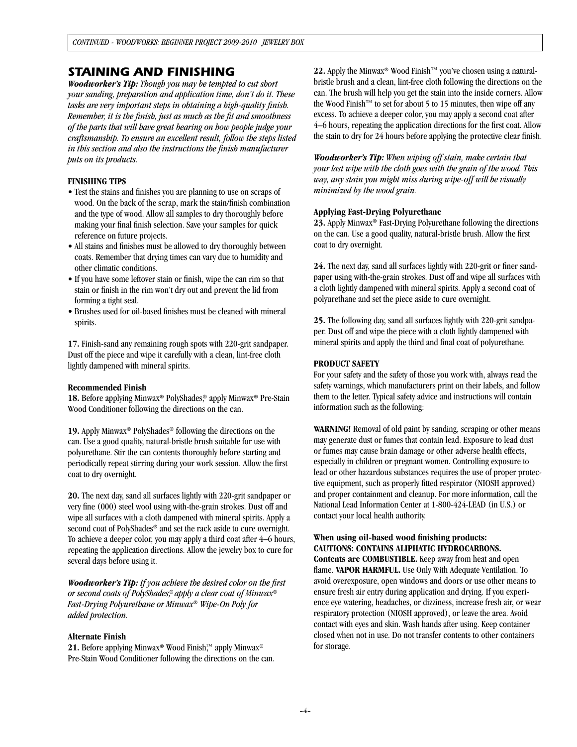### *Staining and finishing*

*Woodworker's Tip: Though you may be tempted to cut short your sanding, preparation and application time, don't do it. These tasks are very important steps in obtaining a high-quality finish. Remember, it is the finish, just as much as the fit and smoothness of the parts that will have great bearing on how people judge your craftsmanship. To ensure an excellent result, follow the steps listed in this section and also the instructions the finish manufacturer puts on its products.*

#### **FINISHING TIPS**

- Test the stains and finishes you are planning to use on scraps of wood. On the back of the scrap, mark the stain/finish combination and the type of wood. Allow all samples to dry thoroughly before making your final finish selection. Save your samples for quick reference on future projects.
- All stains and finishes must be allowed to dry thoroughly between coats. Remember that drying times can vary due to humidity and other climatic conditions.
- If you have some leftover stain or finish, wipe the can rim so that stain or finish in the rim won't dry out and prevent the lid from forming a tight seal.
- Brushes used for oil-based finishes must be cleaned with mineral spirits.

**17.** Finish-sand any remaining rough spots with 220-grit sandpaper. Dust off the piece and wipe it carefully with a clean, lint-free cloth lightly dampened with mineral spirits.

#### **Recommended Finish**

**18.** Before applying Minwax® PolyShades,® apply Minwax® Pre-Stain Wood Conditioner following the directions on the can.

**19.** Apply Minwax® PolyShades® following the directions on the can. Use a good quality, natural-bristle brush suitable for use with polyurethane. Stir the can contents thoroughly before starting and periodically repeat stirring during your work session. Allow the first coat to dry overnight.

**20.** The next day, sand all surfaces lightly with 220-grit sandpaper or very fine (000) steel wool using with-the-grain strokes. Dust off and wipe all surfaces with a cloth dampened with mineral spirits. Apply a second coat of PolyShades® and set the rack aside to cure overnight. To achieve a deeper color, you may apply a third coat after 4–6 hours, repeating the application directions. Allow the jewelry box to cure for several days before using it.

*Woodworker's Tip: If you achieve the desired color on the first or second coats of PolyShades,*® *apply a clear coat of Minwax*® *Fast-Drying Polyurethane or Minwax*® *Wipe-On Poly for added protection.*

#### **Alternate Finish**

21. Before applying Minwax<sup>®</sup> Wood Finish<sup>™</sup> apply Minwax<sup>®</sup> Pre-Stain Wood Conditioner following the directions on the can. **22.** Apply the Minwax® Wood Finish™ you've chosen using a naturalbristle brush and a clean, lint-free cloth following the directions on the can. The brush will help you get the stain into the inside corners. Allow the Wood Finish™ to set for about 5 to 15 minutes, then wipe off any excess. To achieve a deeper color, you may apply a second coat after 4–6 hours, repeating the application directions for the first coat. Allow the stain to dry for 24 hours before applying the protective clear finish.

*Woodworker's Tip: When wiping off stain, make certain that your last wipe with the cloth goes with the grain of the wood. This way, any stain you might miss during wipe-off will be visually minimized by the wood grain.*

#### **Applying Fast-Drying Polyurethane**

**23.** Apply Minwax® Fast-Drying Polyurethane following the directions on the can. Use a good quality, natural-bristle brush. Allow the first coat to dry overnight.

**24.** The next day, sand all surfaces lightly with 220-grit or finer sandpaper using with-the-grain strokes. Dust off and wipe all surfaces with a cloth lightly dampened with mineral spirits. Apply a second coat of polyurethane and set the piece aside to cure overnight.

**25.** The following day, sand all surfaces lightly with 220-grit sandpaper. Dust off and wipe the piece with a cloth lightly dampened with mineral spirits and apply the third and final coat of polyurethane.

### **PRODUCT SAFETY**

For your safety and the safety of those you work with, always read the safety warnings, which manufacturers print on their labels, and follow them to the letter. Typical safety advice and instructions will contain information such as the following:

**WARNING!** Removal of old paint by sanding, scraping or other means may generate dust or fumes that contain lead. Exposure to lead dust or fumes may cause brain damage or other adverse health effects, especially in children or pregnant women. Controlling exposure to lead or other hazardous substances requires the use of proper protective equipment, such as properly fitted respirator (NIOSH approved) and proper containment and cleanup. For more information, call the National Lead Information Center at 1-800-424-LEAD (in U.S.) or contact your local health authority.

### **When using oil-based wood finishing products: CAUTIONS: CONTAINS ALIPHATIC HYDROCARBONS.**

**Contents are COMBUSTIBLE.** Keep away from heat and open flame. **VAPOR HARMFUL.** Use Only With Adequate Ventilation. To avoid overexposure, open windows and doors or use other means to ensure fresh air entry during application and drying. If you experience eye watering, headaches, or dizziness, increase fresh air, or wear respiratory protection (NIOSH approved), or leave the area. Avoid contact with eyes and skin. Wash hands after using. Keep container closed when not in use. Do not transfer contents to other containers for storage.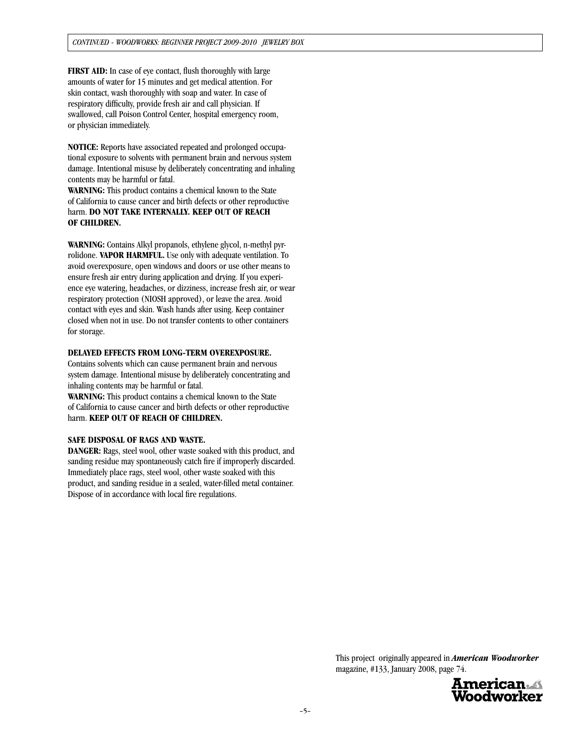**FIRST AID:** In case of eye contact, flush thoroughly with large amounts of water for 15 minutes and get medical attention. For skin contact, wash thoroughly with soap and water. In case of respiratory difficulty, provide fresh air and call physician. If swallowed, call Poison Control Center, hospital emergency room, or physician immediately.

**NOTICE:** Reports have associated repeated and prolonged occupational exposure to solvents with permanent brain and nervous system damage. Intentional misuse by deliberately concentrating and inhaling contents may be harmful or fatal.

**WARNING:** This product contains a chemical known to the State of California to cause cancer and birth defects or other reproductive harm. **DO NOT TAKE INTERNALLY. KEEP OUT OF REACH OF CHILDREN.**

**WARNING:** Contains Alkyl propanols, ethylene glycol, n-methyl pyrrolidone. **VAPOR HARMFUL.** Use only with adequate ventilation. To avoid overexposure, open windows and doors or use other means to ensure fresh air entry during application and drying. If you experience eye watering, headaches, or dizziness, increase fresh air, or wear respiratory protection (NIOSH approved), or leave the area. Avoid contact with eyes and skin. Wash hands after using. Keep container closed when not in use. Do not transfer contents to other containers for storage.

#### **DELAYED EFFECTS FROM LONG-TERM OVEREXPOSURE.**

Contains solvents which can cause permanent brain and nervous system damage. Intentional misuse by deliberately concentrating and inhaling contents may be harmful or fatal.

**WARNING:** This product contains a chemical known to the State of California to cause cancer and birth defects or other reproductive harm. **KEEP OUT OF REACH OF CHILDREN.**

#### **SAFE DISPOSAL OF RAGS AND WASTE.**

**DANGER:** Rags, steel wool, other waste soaked with this product, and sanding residue may spontaneously catch fire if improperly discarded. Immediately place rags, steel wool, other waste soaked with this product, and sanding residue in a sealed, water-filled metal container. Dispose of in accordance with local fire regulations.

> This project originally appeared in *American Woodworker*  magazine, #133, January 2008, page 74.

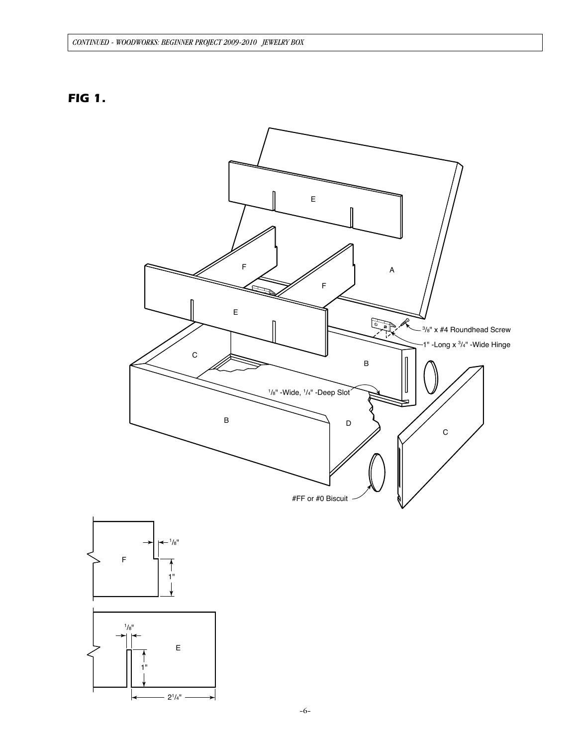## *FIG 1.*